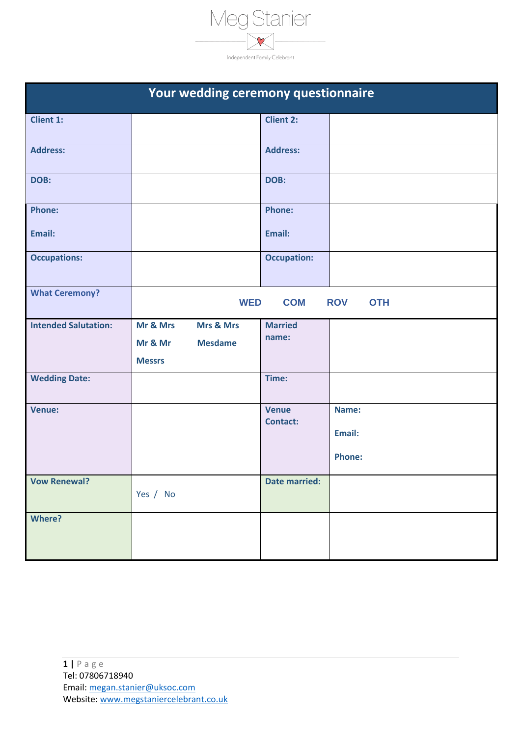

| Your wedding ceremony questionnaire |                           |                      |                          |
|-------------------------------------|---------------------------|----------------------|--------------------------|
| <b>Client 1:</b>                    |                           | <b>Client 2:</b>     |                          |
| <b>Address:</b>                     |                           | <b>Address:</b>      |                          |
| DOB:                                |                           | DOB:                 |                          |
| <b>Phone:</b>                       |                           | <b>Phone:</b>        |                          |
| Email:                              |                           | Email:               |                          |
| <b>Occupations:</b>                 |                           | <b>Occupation:</b>   |                          |
| <b>What Ceremony?</b>               | <b>WED</b>                | <b>COM</b>           | <b>ROV</b><br><b>OTH</b> |
| <b>Intended Salutation:</b>         | Mr & Mrs<br>Mrs & Mrs     | <b>Married</b>       |                          |
|                                     | <b>Mesdame</b><br>Mr & Mr | name:                |                          |
|                                     | <b>Messrs</b>             |                      |                          |
| <b>Wedding Date:</b>                |                           | Time:                |                          |
| Venue:                              |                           | <b>Venue</b>         | Name:                    |
|                                     |                           | <b>Contact:</b>      | Email:                   |
|                                     |                           |                      | <b>Phone:</b>            |
| <b>Vow Renewal?</b>                 | Yes / No                  | <b>Date married:</b> |                          |
| <b>Where?</b>                       |                           |                      |                          |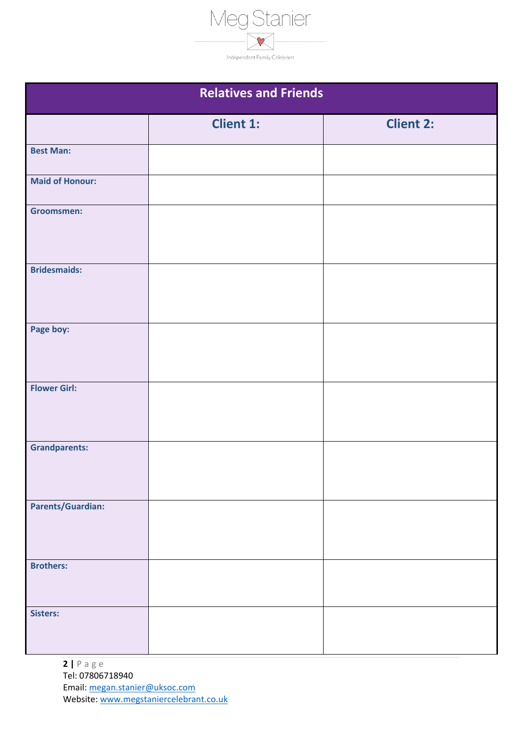

| <b>Relatives and Friends</b> |                  |                  |
|------------------------------|------------------|------------------|
|                              |                  |                  |
|                              | <b>Client 1:</b> | <b>Client 2:</b> |
| <b>Best Man:</b>             |                  |                  |
| <b>Maid of Honour:</b>       |                  |                  |
| <b>Groomsmen:</b>            |                  |                  |
| <b>Bridesmaids:</b>          |                  |                  |
| Page boy:                    |                  |                  |
| <b>Flower Girl:</b>          |                  |                  |
| <b>Grandparents:</b>         |                  |                  |
| <b>Parents/Guardian:</b>     |                  |                  |
| <b>Brothers:</b>             |                  |                  |
| Sisters:                     |                  |                  |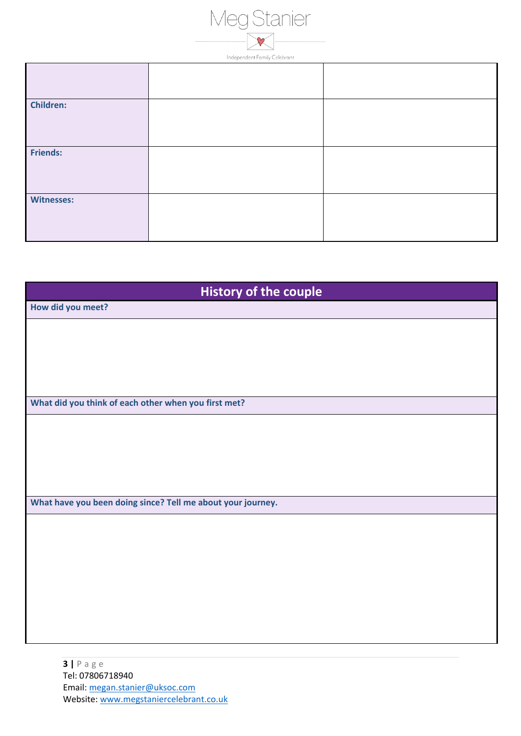

| <b>Children:</b>  |  |
|-------------------|--|
| Friends:          |  |
| <b>Witnesses:</b> |  |

| <b>History of the couple</b>                                |  |  |
|-------------------------------------------------------------|--|--|
| How did you meet?                                           |  |  |
|                                                             |  |  |
|                                                             |  |  |
|                                                             |  |  |
|                                                             |  |  |
| What did you think of each other when you first met?        |  |  |
|                                                             |  |  |
|                                                             |  |  |
|                                                             |  |  |
|                                                             |  |  |
|                                                             |  |  |
| What have you been doing since? Tell me about your journey. |  |  |
|                                                             |  |  |
|                                                             |  |  |
|                                                             |  |  |
|                                                             |  |  |
|                                                             |  |  |
|                                                             |  |  |
|                                                             |  |  |
|                                                             |  |  |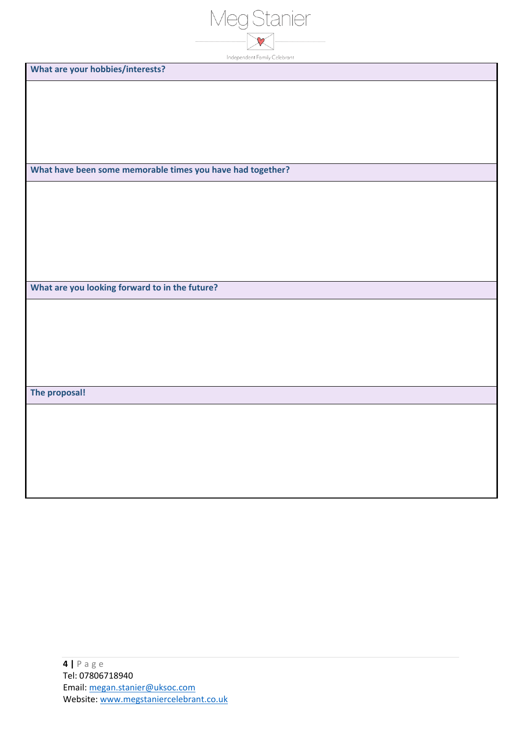| $\overline{\mathcal{L}}$     |
|------------------------------|
|                              |
| Independent Family Celebrant |

**What are your hobbies/interests?**

**What have been some memorable times you have had together?** 

**What are you looking forward to in the future?** 

**The proposal!**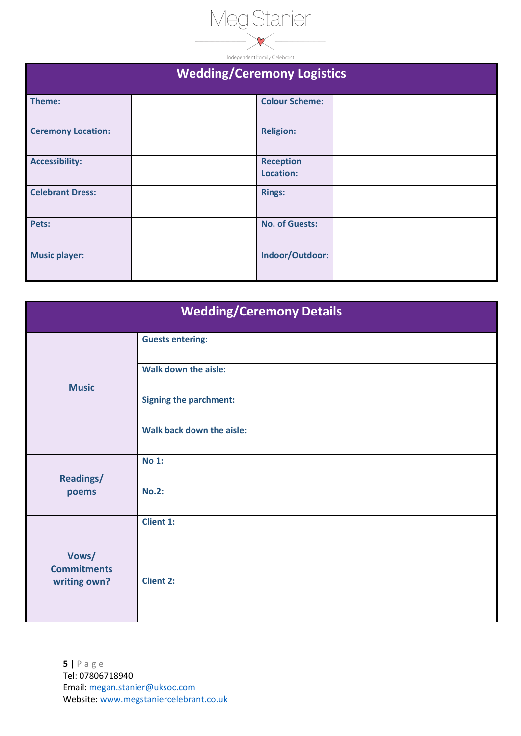

| <b>Wedding/Ceremony Logistics</b> |  |                               |  |
|-----------------------------------|--|-------------------------------|--|
| Theme:                            |  | <b>Colour Scheme:</b>         |  |
| <b>Ceremony Location:</b>         |  | <b>Religion:</b>              |  |
| <b>Accessibility:</b>             |  | <b>Reception</b><br>Location: |  |
| <b>Celebrant Dress:</b>           |  | <b>Rings:</b>                 |  |
| Pets:                             |  | <b>No. of Guests:</b>         |  |
| <b>Music player:</b>              |  | Indoor/Outdoor:               |  |

| <b>Wedding/Ceremony Details</b>             |                               |  |
|---------------------------------------------|-------------------------------|--|
| <b>Music</b>                                | <b>Guests entering:</b>       |  |
|                                             | <b>Walk down the aisle:</b>   |  |
|                                             | <b>Signing the parchment:</b> |  |
|                                             | Walk back down the aisle:     |  |
| <b>Readings/</b><br>poems                   | <b>No 1:</b>                  |  |
|                                             | <b>No.2:</b>                  |  |
|                                             | <b>Client 1:</b>              |  |
| Vows/<br><b>Commitments</b><br>writing own? |                               |  |
|                                             | <b>Client 2:</b>              |  |
|                                             |                               |  |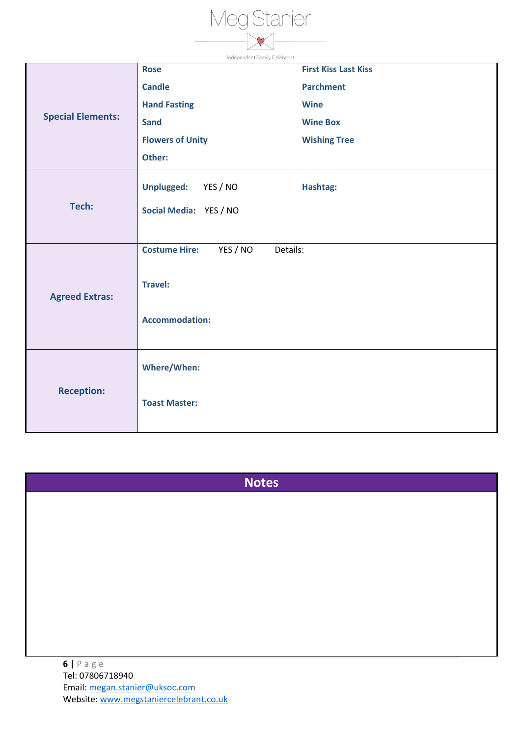

| inaepenaent ramily Celebrant |                                              |                             |  |
|------------------------------|----------------------------------------------|-----------------------------|--|
| <b>Special Elements:</b>     | <b>Rose</b>                                  | <b>First Kiss Last Kiss</b> |  |
|                              | <b>Candle</b>                                | <b>Parchment</b>            |  |
|                              | <b>Hand Fasting</b>                          | <b>Wine</b>                 |  |
|                              | <b>Sand</b>                                  | <b>Wine Box</b>             |  |
|                              | <b>Flowers of Unity</b>                      | <b>Wishing Tree</b>         |  |
|                              | Other:                                       |                             |  |
|                              | Unplugged: YES / NO                          | Hashtag:                    |  |
| Tech:                        |                                              |                             |  |
|                              | Social Media: YES / NO                       |                             |  |
|                              |                                              |                             |  |
|                              | <b>Costume Hire:</b><br>YES / NO<br>Details: |                             |  |
|                              |                                              |                             |  |
| <b>Agreed Extras:</b>        | <b>Travel:</b>                               |                             |  |
|                              |                                              |                             |  |
|                              | <b>Accommodation:</b>                        |                             |  |
|                              |                                              |                             |  |
| <b>Reception:</b>            | <b>Where/When:</b>                           |                             |  |
|                              |                                              |                             |  |
|                              | <b>Toast Master:</b>                         |                             |  |
|                              |                                              |                             |  |
|                              |                                              |                             |  |

**Notes**